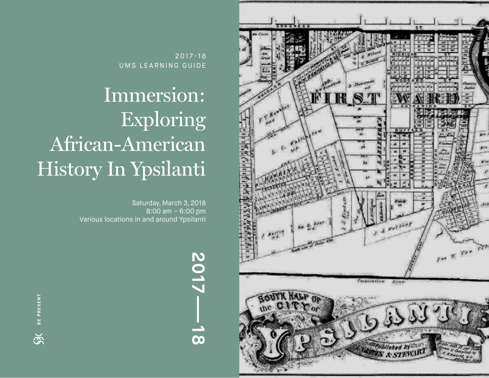

2017-18 UMS LEARNING GUIDE

# Immersion: Exploring African-American History In Ypsilanti

Saturday, March 3, 2018 8:00 am – 6:00 pm Various locations in and around Ypsilanti

**BE PRESENTED AS A RESENT FOR A PROPERTY OF A PROPERTY OF A PROPERTY OF A PROPERTY OF A PROPERTY OF A PROPERTY OF A P**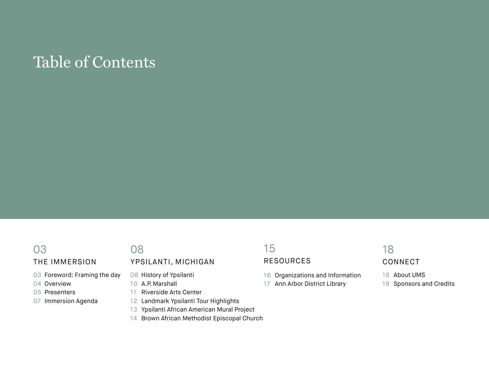## Table of Contents

### THE IMMERSION

- Foreword: Framing the day
- Overview
- Presenters
- Immersion Agenda

### YPSILANTI, MICHIGAN

- History of Ypsilanti
- A.P. Marshall
- Riverside Arts Center
- Landmark Ypsilanti Tour Highlights
- Ypsilanti African American Mural Project
- Brown African Methodist Episcopal Church

### RESOURCES

- Organizations and Information
- Ann Arbor District Library

### 

### CONNECT

- About UMS
- Sponsors and Credits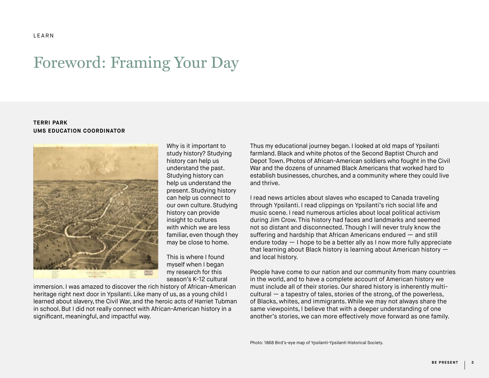### Foreword: Framing Your Day

#### **TERRI PARK UMS EDUCATION COORDINATOR**



Why is it important to study history? Studying history can help us understand the past. Studying history can help us understand the present. Studying history can help us connect to our own culture. Studying history can provide insight to cultures with which we are less familiar, even though they may be close to home.

This is where I found myself when I began my research for this season's K-12 cultural

immersion. I was amazed to discover the rich history of African-American heritage right next door in Ypsilanti. Like many of us, as a young child I learned about slavery, the Civil War, and the heroic acts of Harriet Tubman in school. But I did not really connect with African-American history in a significant, meaningful, and impactful way.

Thus my educational journey began. I looked at old maps of Ypsilanti farmland. Black and white photos of the Second Baptist Church and Depot Town. Photos of African-American soldiers who fought in the Civil War and the dozens of unnamed Black Americans that worked hard to establish businesses, churches, and a community where they could live and thrive.

I read news articles about slaves who escaped to Canada traveling through Ypsilanti. I read clippings on Ypsilanti's rich social life and music scene. I read numerous articles about local political activism during Jim Crow. This history had faces and landmarks and seemed not so distant and disconnected. Though I will never truly know the suffering and hardship that African Americans endured — and still endure today — I hope to be a better ally as I now more fully appreciate that learning about Black history is learning about American history and local history.

People have come to our nation and our community from many countries in the world, and to have a complete account of American history we must include all of their stories. Our shared history is inherently multicultural  $-$  a tapestry of tales, stories of the strong, of the powerless, of Blacks, whites, and immigrants. While we may not always share the same viewpoints, I believe that with a deeper understanding of one another's stories, we can more effectively move forward as one family.

Photo: 1868 Bird's-eye map of Ypsilanti-Ypsilanti Historical Society.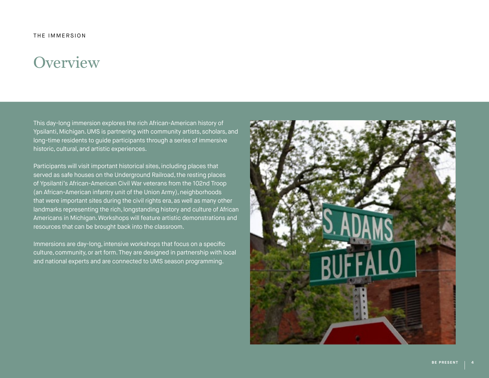## **Overview**

This day-long immersion explores the rich African-American history of Ypsilanti, Michigan. UMS is partnering with community artists, scholars, and long-time residents to guide participants through a series of immersive historic, cultural, and artistic experiences.

Participants will visit important historical sites, including places that served as safe houses on the Underground Railroad, the resting places of Ypsilanti's African-American Civil War veterans from the 102nd Troop (an African-American infantry unit of the Union Army), neighborhoods that were important sites during the civil rights era, as well as many other landmarks representing the rich, longstanding history and culture of African Americans in Michigan. Workshops will feature artistic demonstrations and resources that can be brought back into the classroom.

Immersions are day-long, intensive workshops that focus on a specific culture, community, or art form. They are designed in partnership with local and national experts and are connected to UMS season programming.

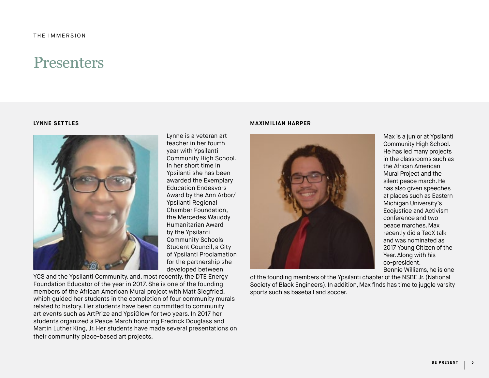### **Presenters**

#### **LYNNE SETTLES**



Lynne is a veteran art teacher in her fourth year with Ypsilanti Community High School. In her short time in Ypsilanti she has been awarded the Exemplary Education Endeavors Award by the Ann Arbor/ Ypsilanti Regional Chamber Foundation, the Mercedes Wauddy Humanitarian Award by the Ypsilanti Community Schools Student Council, a City of Ypsilanti Proclamation for the partnership she developed between

YCS and the Ypsilanti Community, and, most recently, the DTE Energy Foundation Educator of the year in 2017. She is one of the founding members of the African American Mural project with Matt Siegfried, which guided her students in the completion of four community murals related to history. Her students have been committed to community art events such as ArtPrize and YpsiGlow for two years. In 2017 her students organized a Peace March honoring Fredrick Douglass and Martin Luther King, Jr. Her students have made several presentations on their community place-based art projects.

#### **MAXIMILIAN HARPER**



Max is a junior at Ypsilanti Community High School. He has led many projects in the classrooms such as the African American Mural Project and the silent peace march. He has also given speeches at places such as Eastern Michigan University's Ecojustice and Activism conference and two peace marches. Max recently did a TedX talk and was nominated as 2017 Young Citizen of the Year. Along with his co-president, Bennie Williams, he is one

of the founding members of the Ypsilanti chapter of the NSBE Jr. (National Society of Black Engineers). In addition, Max finds has time to juggle varsity sports such as baseball and soccer.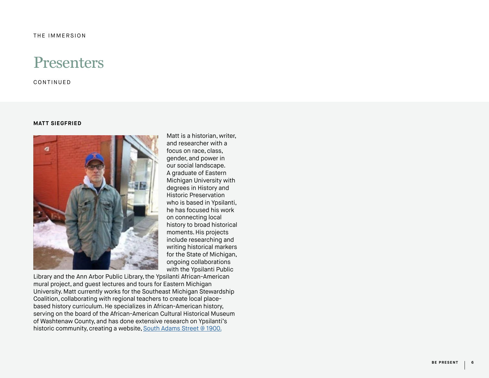### **Presenters**

CONTINUED

#### **MATT SIEGFRIED**



Matt is a historian, writer, and researcher with a focus on race, class, gender, and power in our social landscape. A graduate of Eastern Michigan University with degrees in History and Historic Preservation who is based in Ypsilanti, he has focused his work on connecting local history to broad historical moments. His projects include researching and writing historical markers for the State of Michigan, ongoing collaborations with the Ypsilanti Public

Library and the Ann Arbor Public Library, the Ypsilanti African-American mural project, and guest lectures and tours for Eastern Michigan University. Matt currently works for the Southeast Michigan Stewardship Coalition, collaborating with regional teachers to create local placebased history curriculum. He specializes in African-American history, serving on the board of the African-American Cultural Historical Museum of Washtenaw County, and has done extensive research on Ypsilanti's historic community, creating a website, [South Adams Street @ 1900.](https://southadamstreet1900.wordpress.com/)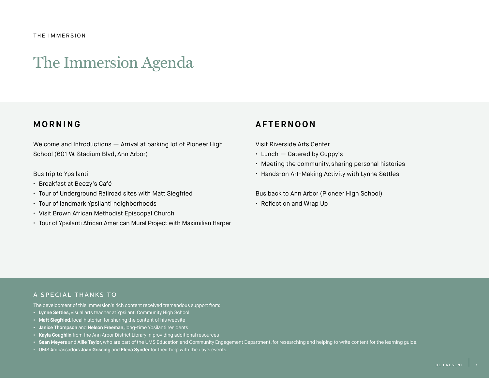#### THE IMMERSION

### The Immersion Agenda

### **MORNING**

Welcome and Introductions — Arrival at parking lot of Pioneer High School (601 W. Stadium Blvd, Ann Arbor)

#### Bus trip to Ypsilanti

- Breakfast at Beezy's Café
- Tour of Underground Railroad sites with Matt Siegfried
- Tour of landmark Ypsilanti neighborhoods
- Visit Brown African Methodist Episcopal Church
- Tour of Ypsilanti African American Mural Project with Maximilian Harper

### **AFTERNOON**

Visit Riverside Arts Center

- Lunch Catered by Cuppy's
- Meeting the community, sharing personal histories
- Hands-on Art-Making Activity with Lynne Settles

Bus back to Ann Arbor (Pioneer High School)

• Reflection and Wrap Up

### A SPECIAL THANKS TO

The development of this Immersion's rich content received tremendous support from:

- **• Lynne Settles,** visual arts teacher at Ypsilanti Community High School
- **• Matt Siegfried,** local historian for sharing the content of his website
- **• Janice Thompson** and **Nelson Freeman,** long-time Ypsilanti residents
- **• Kayla Coughlin** from the Ann Arbor District Library in providing additional resources
- Sean Meyers and Allie Taylor, who are part of the UMS Education and Community Engagement Department, for researching and helping to write content for the learning guide.
- UMS Ambassadors **Joan Grissing** and **Elena Synder** for their help with the day's events.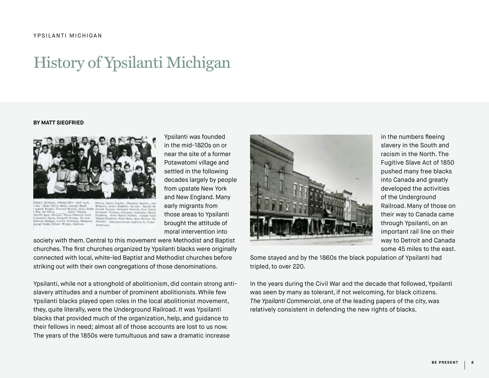## History of Ypsilanti Michigan

#### **BY MATT SIEGFRIED**



Ypsilanti was founded in the mid-1820s on or near the site of a former Potawatomi village and settled in the following decades largely by people from upstate New York and New England. Many early migrants from those areas to Ypsilanti brought the attitude of moral intervention into

society with them. Central to this movement were Methodist and Baptist churches. The first churches organized by Ypsilanti blacks were originally connected with local, white-led Baptist and Methodist churches before striking out with their own congregations of those denominations.

Ypsilanti, while not a stronghold of abolitionism, did contain strong antislavery attitudes and a number of prominent abolitionists. While few Ypsilanti blacks played open roles in the local abolitionist movement, they, quite literally, were the Underground Railroad. It was Ypsilanti blacks that provided much of the organization, help, and guidance to their fellows in need; almost all of those accounts are lost to us now. The years of the 1850s were tumultuous and saw a dramatic increase



in the numbers fleeing slavery in the South and racism in the North. The Fugitive Slave Act of 1850 pushed many free blacks into Canada and greatly developed the activities of the Underground Railroad. Many of those on their way to Canada came through Ypsilanti, on an important rail line on their way to Detroit and Canada some 45 miles to the east.

Some stayed and by the 1860s the black population of Ypsilanti had tripled, to over 220.

In the years during the Civil War and the decade that followed, Ypsilanti was seen by many as tolerant, if not welcoming, for black citizens. *The Ypsilanti Commercial*, one of the leading papers of the city, was relatively consistent in defending the new rights of blacks.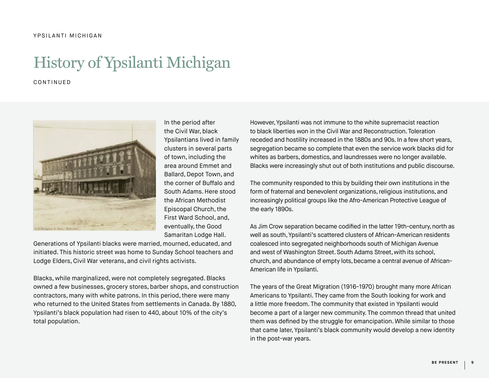## History of Ypsilanti Michigan

CONTINUED



In the period after the Civil War, black Ypsilantians lived in family clusters in several parts of town, including the area around Emmet and Ballard, Depot Town, and the corner of Buffalo and South Adams. Here stood the African Methodist Episcopal Church, the First Ward School, and, eventually, the Good Samaritan Lodge Hall.

Generations of Ypsilanti blacks were married, mourned, educated, and initiated. This historic street was home to Sunday School teachers and Lodge Elders, Civil War veterans, and civil rights activists.

Blacks, while marginalized, were not completely segregated. Blacks owned a few businesses, grocery stores, barber shops, and construction contractors, many with white patrons. In this period, there were many who returned to the United States from settlements in Canada. By 1880, Ypsilanti's black population had risen to 440, about 10% of the city's total population.

However, Ypsilanti was not immune to the white supremacist reaction to black liberties won in the Civil War and Reconstruction. Toleration receded and hostility increased in the 1880s and 90s. In a few short years, segregation became so complete that even the service work blacks did for whites as barbers, domestics, and laundresses were no longer available. Blacks were increasingly shut out of both institutions and public discourse.

The community responded to this by building their own institutions in the form of fraternal and benevolent organizations, religious institutions, and increasingly political groups like the Afro-American Protective League of the early 1890s.

As Jim Crow separation became codified in the latter 19th-century, north as well as south, Ypsilanti's scattered clusters of African-American residents coalesced into segregated neighborhoods south of Michigan Avenue and west of Washington Street. South Adams Street, with its school, church, and abundance of empty lots, became a central avenue of African-American life in Ypsilanti.

The years of the Great Migration (1916-1970) brought many more African Americans to Ypsilanti. They came from the South looking for work and a little more freedom. The community that existed in Ypsilanti would become a part of a larger new community. The common thread that united them was defined by the struggle for emancipation. While similar to those that came later, Ypsilanti's black community would develop a new identity in the post-war years.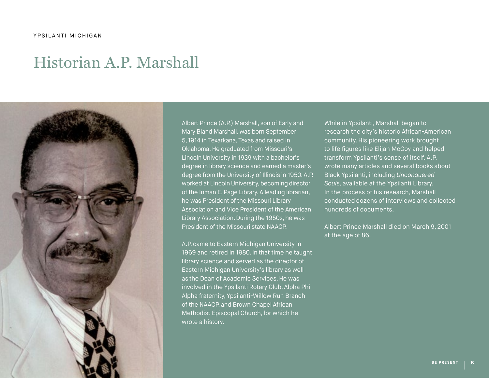### Historian A.P. Marshall



Albert Prince (A.P.) Marshall, son of Early and Mary Bland Marshall, was born September 5, 1914 in Texarkana, Texas and raised in Oklahoma. He graduated from Missouri's Lincoln University in 1939 with a bachelor's degree in library science and earned a master's degree from the University of Illinois in 1950. A.P. worked at Lincoln University, becoming director of the Inman E. Page Library. A leading librarian, he was President of the Missouri Library Association and Vice President of the American Library Association. During the 1950s, he was President of the Missouri state NAACP.

A.P. came to Eastern Michigan University in 1969 and retired in 1980. In that time he taught library science and served as the director of Eastern Michigan University's library as well as the Dean of Academic Services. He was involved in the Ypsilanti Rotary Club, Alpha Phi Alpha fraternity, Ypsilanti-Willow Run Branch of the NAACP, and Brown Chapel African Methodist Episcopal Church, for which he wrote a history.

While in Ypsilanti, Marshall began to research the city's historic African-American community. His pioneering work brought to life figures like Elijah McCoy and helped transform Ypsilanti's sense of itself. A.P. wrote many articles and several books about Black Ypsilanti, including *Unconquered Souls*, available at the Ypsilanti Library. In the process of his research, Marshall conducted dozens of interviews and collected hundreds of documents.

Albert Prince Marshall died on March 9, 2001 at the age of 86.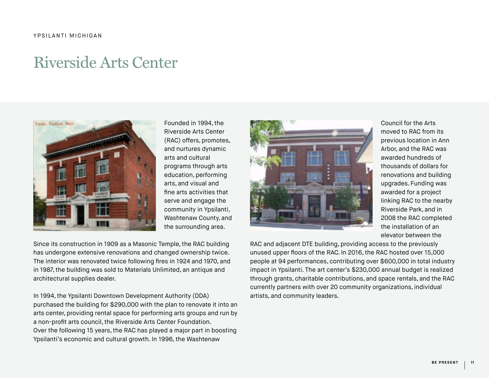## Riverside Arts Center



Founded in 1994, the Riverside Arts Center (RAC) offers, promotes, and nurtures dynamic arts and cultural programs through arts education, performing arts, and visual and fine arts activities that serve and engage the community in Ypsilanti, Washtenaw County, and the surrounding area.

Since its construction in 1909 as a Masonic Temple, the RAC building has undergone extensive renovations and changed ownership twice. The interior was renovated twice following fires in 1924 and 1970, and in 1987, the building was sold to Materials Unlimited, an antique and architectural supplies dealer.

In 1994, the Ypsilanti Downtown Development Authority (DDA) purchased the building for \$290,000 with the plan to renovate it into an arts center, providing rental space for performing arts groups and run by a non-profit arts council, the Riverside Arts Center Foundation. Over the following 15 years, the RAC has played a major part in boosting Ypsilanti's economic and cultural growth. In 1996, the Washtenaw



Council for the Arts moved to RAC from its previous location in Ann Arbor, and the RAC was awarded hundreds of thousands of dollars for renovations and building upgrades. Funding was awarded for a project linking RAC to the nearby Riverside Park, and in 2008 the RAC completed the installation of an elevator between the

RAC and adjacent DTE building, providing access to the previously unused upper floors of the RAC. In 2016, the RAC hosted over 15,000 people at 94 performances, contributing over \$600,000 in total industry impact in Ypsilanti. The art center's \$230,000 annual budget is realized through grants, charitable contributions, and space rentals, and the RAC currently partners with over 20 community organizations, individual artists, and community leaders.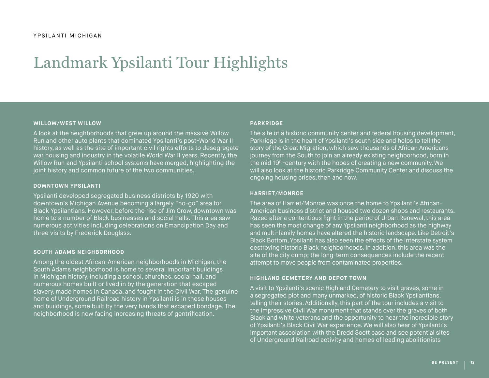## Landmark Ypsilanti Tour Highlights

#### **WILLOW/WEST WILLOW**

A look at the neighborhoods that grew up around the massive Willow Run and other auto plants that dominated Ypsilanti's post-World War II history, as well as the site of important civil rights efforts to desegregate war housing and industry in the volatile World War II years. Recently, the Willow Run and Ypsilanti school systems have merged, highlighting the joint history and common future of the two communities.

#### **DOWNTOWN YPSILANTI**

Ypsilanti developed segregated business districts by 1920 with downtown's Michigan Avenue becoming a largely "no-go" area for Black Ypsilantians. However, before the rise of Jim Crow, downtown was home to a number of Black businesses and social halls. This area saw numerous activities including celebrations on Emancipation Day and three visits by Frederick Douglass.

#### **SOUTH ADAMS NEIGHBORHOOD**

Among the oldest African-American neighborhoods in Michigan, the South Adams neighborhood is home to several important buildings in Michigan history, including a school, churches, social hall, and numerous homes built or lived in by the generation that escaped slavery, made homes in Canada, and fought in the Civil War. The genuine home of Underground Railroad history in Ypsilanti is in these houses and buildings, some built by the very hands that escaped bondage. The neighborhood is now facing increasing threats of gentrification.

#### **PARKRIDGE**

The site of a historic community center and federal housing development, Parkridge is in the heart of Ypsilanti's south side and helps to tell the story of the Great Migration, which saw thousands of African Americans journey from the South to join an already existing neighborhood, born in the mid 19th-century with the hopes of creating a new community. We will also look at the historic Parkridge Community Center and discuss the ongoing housing crises, then and now.

#### **HARRIET/MONROE**

The area of Harriet/Monroe was once the home to Ypsilanti's African-American business district and housed two dozen shops and restaurants. Razed after a contentious fight in the period of Urban Renewal, this area has seen the most change of any Ypsilanti neighborhood as the highway and multi-family homes have altered the historic landscape. Like Detroit's Black Bottom, Ypsilanti has also seen the effects of the interstate system destroying historic Black neighborhoods. In addition, this area was the site of the city dump; the long-term consequences include the recent attempt to move people from contaminated properties.

#### **HIGHLAND CEMETERY AND DEPOT TOWN**

A visit to Ypsilanti's scenic Highland Cemetery to visit graves, some in a segregated plot and many unmarked, of historic Black Ypsilantians, telling their stories. Additionally, this part of the tour includes a visit to the impressive Civil War monument that stands over the graves of both Black and white veterans and the opportunity to hear the incredible story of Ypsilanti's Black Civil War experience. We will also hear of Ypsilanti's important association with the Dredd Scott case and see potential sites of Underground Railroad activity and homes of leading abolitionists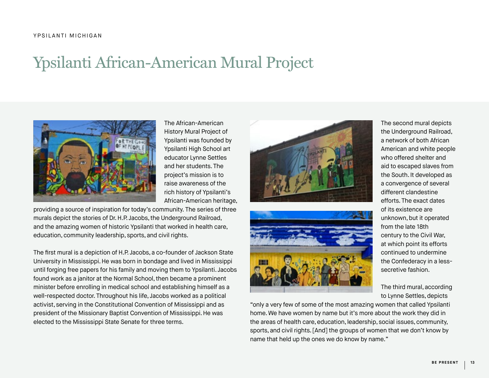## Ypsilanti African-American Mural Project



The African-American History Mural Project of Ypsilanti was founded by Ypsilanti High School art educator Lynne Settles and her students. The project's mission is to raise awareness of the rich history of Ypsilanti's African-American heritage,

providing a source of inspiration for today's community. The series of three murals depict the stories of Dr. H.P. Jacobs, the Underground Railroad, and the amazing women of historic Ypsilanti that worked in health care, education, community leadership, sports, and civil rights.

The first mural is a depiction of H.P. Jacobs, a co-founder of Jackson State University in Mississippi. He was born in bondage and lived in Mississippi until forging free papers for his family and moving them to Ypsilanti. Jacobs found work as a janitor at the Normal School, then became a prominent minister before enrolling in medical school and establishing himself as a well-respected doctor. Throughout his life, Jacobs worked as a political activist, serving in the Constitutional Convention of Mississippi and as president of the Missionary Baptist Convention of Mississippi. He was elected to the Mississippi State Senate for three terms.





"only a very few of some of the most amazing women that called Ypsilanti home. We have women by name but it's more about the work they did in the areas of health care, education, leadership, social issues, community, sports, and civil rights. [And] the groups of women that we don't know by name that held up the ones we do know by name."

The second mural depicts the Underground Railroad, a network of both African American and white people who offered shelter and aid to escaped slaves from the South. It developed as a convergence of several different clandestine efforts. The exact dates of its existence are unknown, but it operated from the late 18th century to the Civil War, at which point its efforts continued to undermine the Confederacy in a lesssecretive fashion.

The third mural, according to Lynne Settles, depicts

**BE PRESEN**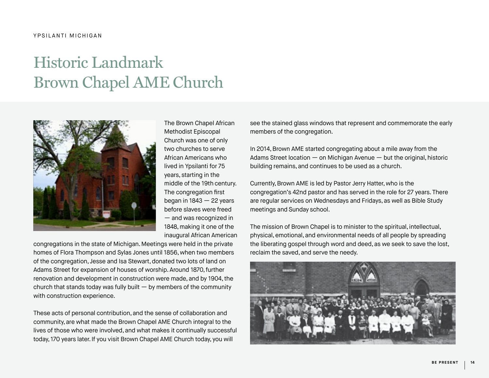# Historic Landmark Brown Chapel AME Church



The Brown Chapel African Methodist Episcopal Church was one of only two churches to serve African Americans who lived in Ypsilanti for 75 years, starting in the middle of the 19th century. The congregation first began in  $1843 - 22$  years before slaves were freed — and was recognized in 1848, making it one of the inaugural African American

congregations in the state of Michigan. Meetings were held in the private homes of Flora Thompson and Sylas Jones until 1856, when two members of the congregation, Jesse and Isa Stewart, donated two lots of land on Adams Street for expansion of houses of worship. Around 1870, further renovation and development in construction were made, and by 1904, the church that stands today was fully built  $-$  by members of the community with construction experience.

These acts of personal contribution, and the sense of collaboration and community, are what made the Brown Chapel AME Church integral to the lives of those who were involved, and what makes it continually successful today, 170 years later. If you visit Brown Chapel AME Church today, you will

see the stained glass windows that represent and commemorate the early members of the congregation.

In 2014, Brown AME started congregating about a mile away from the Adams Street location — on Michigan Avenue — but the original, historic building remains, and continues to be used as a church.

Currently, Brown AME is led by Pastor Jerry Hatter, who is the congregation's 42nd pastor and has served in the role for 27 years. There are regular services on Wednesdays and Fridays, as well as Bible Study meetings and Sunday school.

The mission of Brown Chapel is to minister to the spiritual, intellectual, physical, emotional, and environmental needs of all people by spreading the liberating gospel through word and deed, as we seek to save the lost, reclaim the saved, and serve the needy.

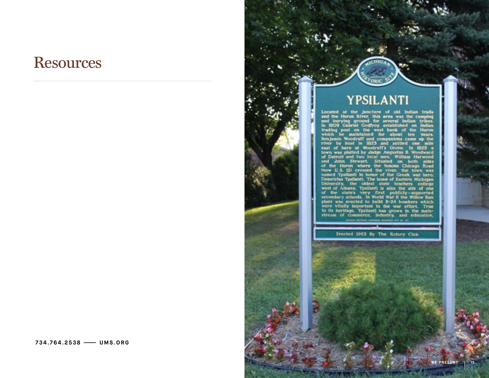### **Resources**

### YPSILANTI

I FOILEANT II<br>Located at the juncture of old Indian trails<br>and the Huron River. this area was the camping<br>In 1809 Gabriel Godfroy established an Indian<br>Irading post on the west bank of the Huron<br>Irading post on the west ba

Erected 1963 By The Rotary Club

 **7 3 4 . 7 6 4 . 2 5 3 8 ——— U M S . O R G**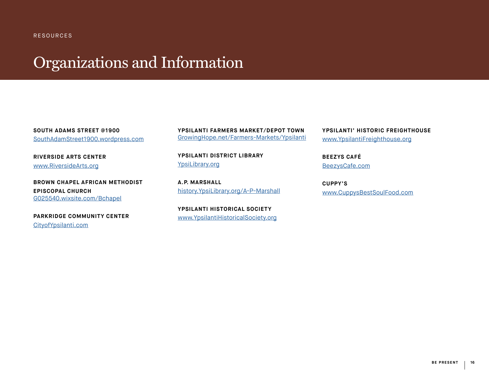#### RESOURCES

## Organizations and Information

**SOUTH ADAMS STREET @1900** [SouthAdamStreet1900.wordpress.com](https://SouthAdamStreet1900.wordpress.com/)

**RIVERSIDE ARTS CENTER**  [www.RiversideArts.org](https://www.RiversideArts.org/)

**BROWN CHAPEL AFRICAN METHODIST EPISCOPAL CHURCH**  [G025540.wixsite.com/Bchapel](http://G025540.wixsite.com/Bchapel)

**PARKRIDGE COMMUNITY CENTER**  [CityofYpsilanti.com](http://CityofYpsilanti.com/)

**YPSILANTI FARMERS MARKET/DEPOT TOWN** [GrowingHope.net/Farmers-Markets/Ypsilanti](http://GrowingHope.net/Farmers-Markets/Ypsilanti/)

**YPSILANTI DISTRICT LIBRARY**  [YpsiLibrary.org](http://YpsiLibrary.org/)

**A.P. MARSHALL**  [history.YpsiLibrary.org/A-P-Marshall](http://history.ypsilibrary.org/a-p-marshall/)

**YPSILANTI HISTORICAL SOCIETY**  [www.YpsilantiHistoricalSociety.org](https://www.YpsilantiHistoricalSociety.org/) **YPSILANTI' HISTORIC FREIGHTHOUSE** [www.YpsilantiFreighthouse.org](https://www.YpsilantiFreighthouse.org/)

**BEEZYS CAFÉ** [BeezysCafe.com](http://BeezysCafe.com/)

**CUPPY'S**  [www.CuppysBestSoulFood.com](https://www.CuppysBestSoulFood.com/)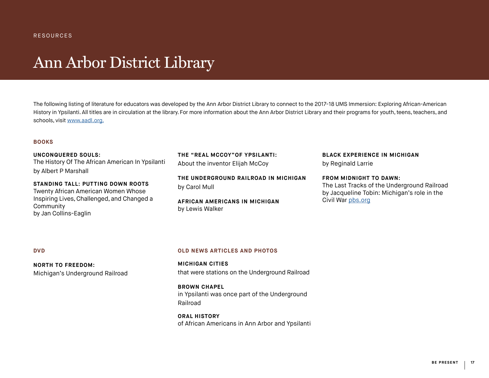### Ann Arbor District Library

The following listing of literature for educators was developed by the Ann Arbor District Library to connect to the 2017-18 UMS Immersion: Exploring African-American History in Ypsilanti. All titles are in circulation at the library. For more information about the Ann Arbor District Library and their programs for youth, teens, teachers, and schools, visit www.aadl.org.

#### **BOOKS**

**[UNCONQUERED SOULS:](https://aadl.org/catalog/record/10225579)** The History Of The African American In Ypsilanti by Albert P Marshall

**[STANDING TALL:](https://aadl.org/catalog/record/10088545) PUTTING DOWN ROOTS**  Twenty African American Women Whose Inspiring Lives, Challenged, and Changed a Community by Jan Collins-Eaglin

**THE ["REAL MCCOY"O](https://aadl.org/catalog/record/10221614)F YPSILANTI:**  About the inventor Elijah McCoy

**[THE UNDERGROUND RAILROAD IN MICHIGAN](https://aadl.org/catalog/record/10009692)** by Carol Mull

**[AFRICAN AMERICANS IN MICHIGAN](https://aadl.org/catalog/record/10072717)** by Lewis Walker

**[BLACK EXPERIENCE IN MICHIGAN](https://aadl.org/catalog/record/10111448)** by Reginald Larrie

**[FROM MIDNIGHT TO DAWN](http://old.aadl.org/catalog/record/1281564):** The Last Tracks of the Underground Railroad by Jacqueline Tobin: Michigan's role in the Civil War [pbs.org](http://pbs.org)

#### **DVD**

**[NORTH TO FREEDOM:](https://aadl.org/catalog/record/10340983)** [Michigan's Underground Railroad](https://aadl.org/catalog/record/10340983)

#### **OLD NEWS ARTICLES AND PHOTOS**

**[MICHIGAN CITIES](https://aadl.org/aa_news_19870712-michigans_railroad_to_freedom)** that were stations on the Underground Railroad

**[BROWN CHAPEL](https://aadl.org/aa_news_19940814-a_church_and_its_heritage)** in Ypsilanti was once part of the Underground Railroad

**[ORAL HISTORY](https://aadl.org/aachmvideos)** of African Americans in Ann Arbor and Ypsilanti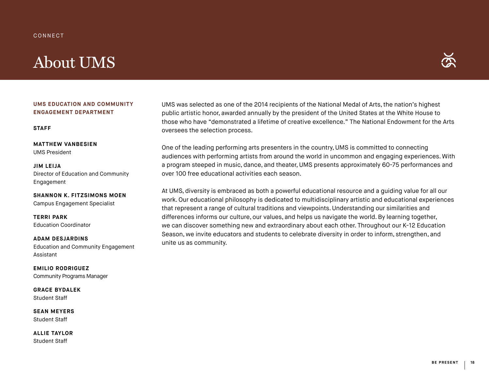#### CONNECT

## About UMS



#### **UMS EDUCATION AND COMMUNITY ENGAGEMENT DEPARTMENT**

#### **STAFF**

**MATTHEW VANBESIEN** UMS President

**JIM LEIJA** Director of Education and Community Engagement

**SHANNON K. FITZSIMONS MOEN** Campus Engagement Specialist

**TERRI PARK** Education Coordinator

**ADAM DESJARDINS** Education and Community Engagement Assistant

**EMILIO RODRIGUEZ** Community Programs Manager

**GRACE BYDALEK** Student Staff

**SEAN MEYERS** Student Staff

**ALLIE TAYLOR** Student Staff

UMS was selected as one of the 2014 recipients of the National Medal of Arts, the nation's highest public artistic honor, awarded annually by the president of the United States at the White House to those who have "demonstrated a lifetime of creative excellence." The National Endowment for the Arts oversees the selection process.

One of the leading performing arts presenters in the country, UMS is committed to connecting audiences with performing artists from around the world in uncommon and engaging experiences. With a program steeped in music, dance, and theater, UMS presents approximately 60-75 performances and over 100 free educational activities each season.

At UMS, diversity is embraced as both a powerful educational resource and a guiding value for all our work. Our educational philosophy is dedicated to multidisciplinary artistic and educational experiences that represent a range of cultural traditions and viewpoints. Understanding our similarities and differences informs our culture, our values, and helps us navigate the world. By learning together, we can discover something new and extraordinary about each other. Throughout our K-12 Education Season, we invite educators and students to celebrate diversity in order to inform, strengthen, and unite us as community.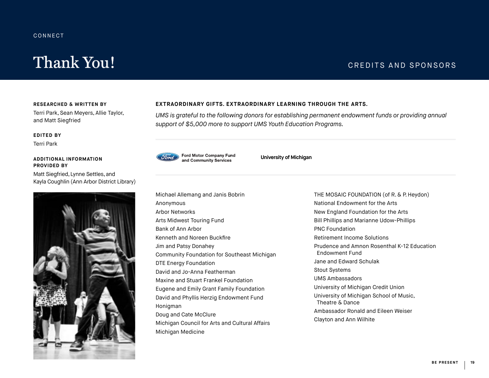#### **CONNECT**

## Thank You! CREDITS AND SPONSORS

#### **RESEARCHED & WRITTEN BY**

Terri Park, Sean Meyers, Allie Taylor, and Matt Siegfried

#### **EDITED BY**

Terri Park

#### **ADDITIONAL INFORMATION PROVIDED BY**

Matt Siegfried, Lynne Settles, and Kayla Coughlin (Ann Arbor District Library)



#### **EXTRAORDINARY GIFTS. EXTRAORDINARY LEARNING THROUGH THE ARTS.**

*UMS is grateful to the following donors for establishing permanent endowment funds or providing annual support of \$5,000 more to support UMS Youth Education Programs.* 



**University of Michigan**

Michael Allemang and Janis Bobrin Anonymous Arbor Networks Arts Midwest Touring Fund Bank of Ann Arbor Kenneth and Noreen Buckfire Jim and Patsy Donahey Community Foundation for Southeast Michigan DTE Energy Foundation David and Jo-Anna Featherman Maxine and Stuart Frankel Foundation Eugene and Emily Grant Family Foundation David and Phyllis Herzig Endowment Fund Honigman Doug and Cate McClure Michigan Council for Arts and Cultural Affairs Michigan Medicine

THE MOSAIC FOUNDATION (of R. & P. Heydon) National Endowment for the Arts New England Foundation for the Arts Bill Phillips and Marianne Udow-Phillips PNC Foundation Retirement Income Solutions Prudence and Amnon Rosenthal K-12 Education Endowment Fund Jane and Edward Schulak Stout Systems UMS Ambassadors University of Michigan Credit Union University of Michigan School of Music, Theatre & Dance Ambassador Ronald and Eileen Weiser Clayton and Ann Wilhite